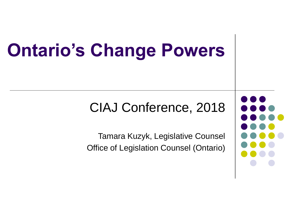# **Ontario's Change Powers**

#### CIAJ Conference, 2018

Tamara Kuzyk, Legislative Counsel Office of Legislation Counsel (Ontario)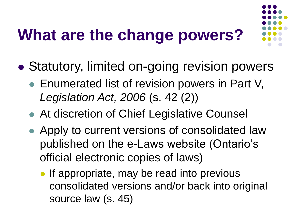### **What are the change powers?**

- 
- Statutory, limited on-going revision powers
	- Enumerated list of revision powers in Part V, *Legislation Act, 2006* (s. 42 (2))
	- At discretion of Chief Legislative Counsel
	- Apply to current versions of consolidated law published on the e-Laws website (Ontario's official electronic copies of laws)
		- If appropriate, may be read into previous consolidated versions and/or back into original source law (s. 45)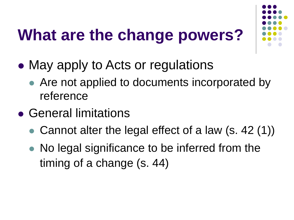### **What are the change powers?**

- May apply to Acts or regulations
	- Are not applied to documents incorporated by reference
- General limitations
	- Cannot alter the legal effect of a law (s. 42 (1))
	- No legal significance to be inferred from the timing of a change (s. 44)

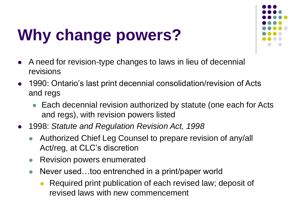

# **Why change powers?**

- A need for revision-type changes to laws in lieu of decennial revisions
- 1990: Ontario's last print decennial consolidation/revision of Acts and regs
	- Each decennial revision authorized by statute (one each for Acts and regs), with revision powers listed
- 1998: *Statute and Regulation Revision Act, 1998*
	- Authorized Chief Leg Counsel to prepare revision of any/all Act/reg, at CLC's discretion
	- Revision powers enumerated
	- Never used...too entrenched in a print/paper world
		- Required print publication of each revised law; deposit of revised laws with new commencement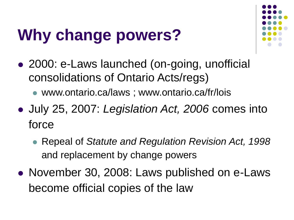### **Why change powers?**



- 2000: e-Laws launched (on-going, unofficial consolidations of Ontario Acts/regs)
	- www.ontario.ca/laws ; www.ontario.ca/fr/lois
- July 25, 2007: *Legislation Act, 2006* comes into force
	- Repeal of *Statute and Regulation Revision Act, 1998*  and replacement by change powers
- November 30, 2008: Laws published on e-Laws become official copies of the law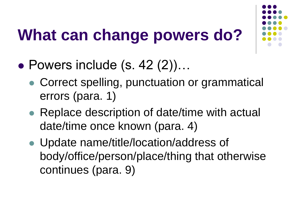### **What can change powers do?**



- Powers include  $(s. 42 (2))...$ 
	- Correct spelling, punctuation or grammatical errors (para. 1)
	- Replace description of date/time with actual date/time once known (para. 4)
	- Update name/title/location/address of body/office/person/place/thing that otherwise continues (para. 9)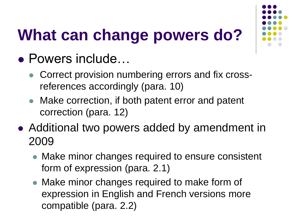

# **What can change powers do?**

- Powers include…
	- Correct provision numbering errors and fix crossreferences accordingly (para. 10)
	- Make correction, if both patent error and patent correction (para. 12)
- Additional two powers added by amendment in 2009
	- Make minor changes required to ensure consistent form of expression (para. 2.1)
	- Make minor changes required to make form of expression in English and French versions more compatible (para. 2.2)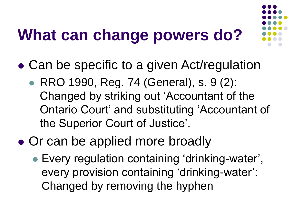### **What can change powers do?**



- Can be specific to a given Act/regulation
	- RRO 1990, Reg. 74 (General), s. 9 (2): Changed by striking out 'Accountant of the Ontario Court' and substituting 'Accountant of the Superior Court of Justice'.
- Or can be applied more broadly
	- Every regulation containing 'drinking-water', every provision containing 'drinking-water': Changed by removing the hyphen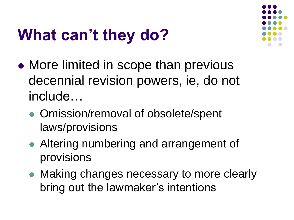#### **What can't they do?**

- More limited in scope than previous decennial revision powers, ie, do not include…
	- Omission/removal of obsolete/spent laws/provisions
	- Altering numbering and arrangement of provisions
	- Making changes necessary to more clearly bring out the lawmaker's intentions

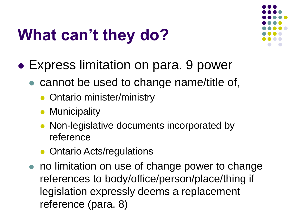#### **What can't they do?**

- Express limitation on para. 9 power
	- cannot be used to change name/title of,
		- Ontario minister/ministry
		- **Municipality**
		- Non-legislative documents incorporated by reference
		- Ontario Acts/regulations
	- no limitation on use of change power to change references to body/office/person/place/thing if legislation expressly deems a replacement reference (para. 8)

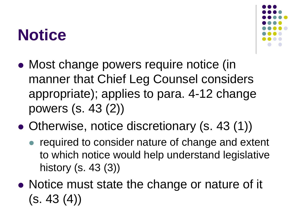#### **Notice**



- Most change powers require notice (in manner that Chief Leg Counsel considers appropriate); applies to para. 4-12 change powers (s. 43 (2))
- Otherwise, notice discretionary (s. 43 (1))
	- required to consider nature of change and extent to which notice would help understand legislative history (s. 43 (3))
- Notice must state the change or nature of it  $(s. 43(4))$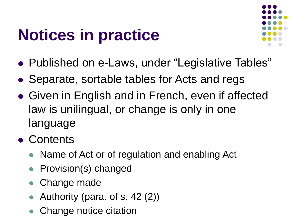### **Notices in practice**



- Published on e-Laws, under "Legislative Tables"
- Separate, sortable tables for Acts and regs
- Given in English and in French, even if affected law is unilingual, or change is only in one language
- Contents
	- Name of Act or of regulation and enabling Act
	- Provision(s) changed
	- Change made
	- Authority (para. of s. 42 (2))
	- Change notice citation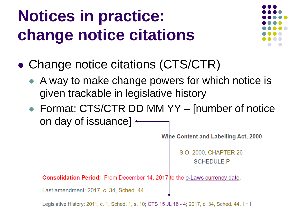### **Notices in practice: change notice citations**



- Change notice citations (CTS/CTR)
	- A way to make change powers for which notice is given trackable in legislative history
	- Format: CTS/CTR DD MM YY [number of notice on day of issuance]  $\leftarrow$

**Wine Content and Labelling Act, 2000** 

S.O. 2000, CHAPTER 26 **SCHEDULE P** 

**Consolidation Period:** From December 14, 2017 to the e-Laws currency date.

Last amendment: 2017, c. 34, Sched. 44.

Legislative History: 2011, c. 1, Sched. 1, s. 10; CTS 15 JL 16 - 4; 2017, c. 34, Sched. 44. [-]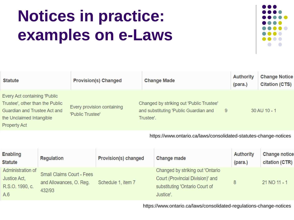### **Notices in practice: examples on e-Laws**



| <b>Statute</b>                                                                                                                                     | <b>Provision(s) Changed</b>                    | <b>Change Made</b>                                                                                  | <b>Authority</b><br>(para.) | <b>Change Notice</b><br><b>Citation (CTS)</b> |
|----------------------------------------------------------------------------------------------------------------------------------------------------|------------------------------------------------|-----------------------------------------------------------------------------------------------------|-----------------------------|-----------------------------------------------|
| Every Act containing 'Public<br>Trustee', other than the Public<br>Guardian and Trustee Act and<br>the Unclaimed Intangible<br><b>Property Act</b> | Every provision containing<br>'Public Trustee' | Changed by striking out 'Public Trustee'<br>and substituting 'Public Guardian and<br>9<br>Trustee'. |                             | 30 AU 10 - 1                                  |

https://www.ontario.ca/laws/consolidated-statutes-change-notices

| <b>Enabling</b><br><b>Statute</b>                           | <b>Regulation</b>                                                     | <b>Provision(s) changed</b> | <b>Change made</b>                                                                                                  | <b>Authority</b><br>(para.) | <b>Change notice</b><br>citation (CTR) |
|-------------------------------------------------------------|-----------------------------------------------------------------------|-----------------------------|---------------------------------------------------------------------------------------------------------------------|-----------------------------|----------------------------------------|
| Administration of<br>Justice Act,<br>R.S.O. 1990, c.<br>A.6 | <b>Small Claims Court - Fees</b><br>and Allowances, O. Reg.<br>432/93 | Schedule 1, item 7          | Changed by striking out 'Ontario<br>Court (Provincial Division)' and<br>substituting 'Ontario Court of<br>Justice'. | 8                           | 21 NO 11 - 1                           |

https://www.ontario.ca/laws/consolidated-regulations-change-notices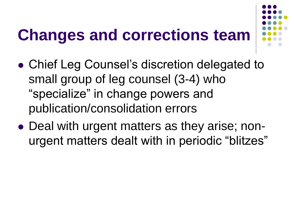#### **Changes and corrections team**



- Chief Leg Counsel's discretion delegated to small group of leg counsel (3-4) who "specialize" in change powers and publication/consolidation errors
- Deal with urgent matters as they arise; nonurgent matters dealt with in periodic "blitzes"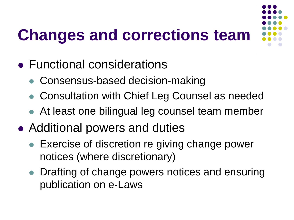### **Changes and corrections team**

- Functional considerations
	- Consensus-based decision-making
	- Consultation with Chief Leg Counsel as needed
	- At least one bilingual leg counsel team member
- Additional powers and duties
	- Exercise of discretion re giving change power notices (where discretionary)
	- Drafting of change powers notices and ensuring publication on e-Laws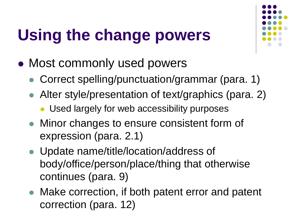# **Using the change powers**



- Most commonly used powers
	- Correct spelling/punctuation/grammar (para. 1)
	- Alter style/presentation of text/graphics (para. 2)
		- Used largely for web accessibility purposes
	- Minor changes to ensure consistent form of expression (para. 2.1)
	- Update name/title/location/address of body/office/person/place/thing that otherwise continues (para. 9)
	- Make correction, if both patent error and patent correction (para. 12)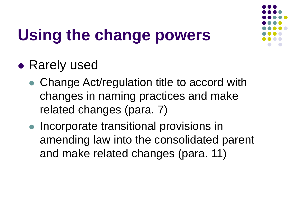

# **Using the change powers**

- Rarely used
	- Change Act/regulation title to accord with changes in naming practices and make related changes (para. 7)
	- Incorporate transitional provisions in amending law into the consolidated parent and make related changes (para. 11)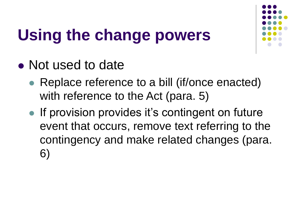# **Using the change powers**



- Not used to date
	- Replace reference to a bill (if/once enacted) with reference to the Act (para. 5)
	- If provision provides it's contingent on future event that occurs, remove text referring to the contingency and make related changes (para. 6)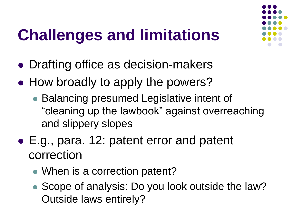### **Challenges and limitations**

- Drafting office as decision-makers
- How broadly to apply the powers?
	- Balancing presumed Legislative intent of "cleaning up the lawbook" against overreaching and slippery slopes
- E.g., para. 12: patent error and patent correction
	- When is a correction patent?
	- Scope of analysis: Do you look outside the law? Outside laws entirely?

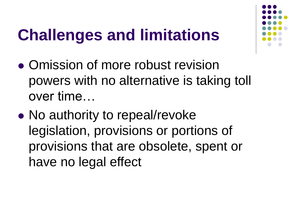#### **Challenges and limitations**



- Omission of more robust revision powers with no alternative is taking toll over time…
- No authority to repeal/revoke legislation, provisions or portions of provisions that are obsolete, spent or have no legal effect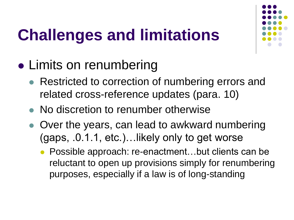# **Challenges and limitations**



- Limits on renumbering
	- Restricted to correction of numbering errors and related cross-reference updates (para. 10)
	- No discretion to renumber otherwise
	- Over the years, can lead to awkward numbering (gaps, .0.1.1, etc.)…likely only to get worse
		- Possible approach: re-enactment...but clients can be reluctant to open up provisions simply for renumbering purposes, especially if a law is of long-standing